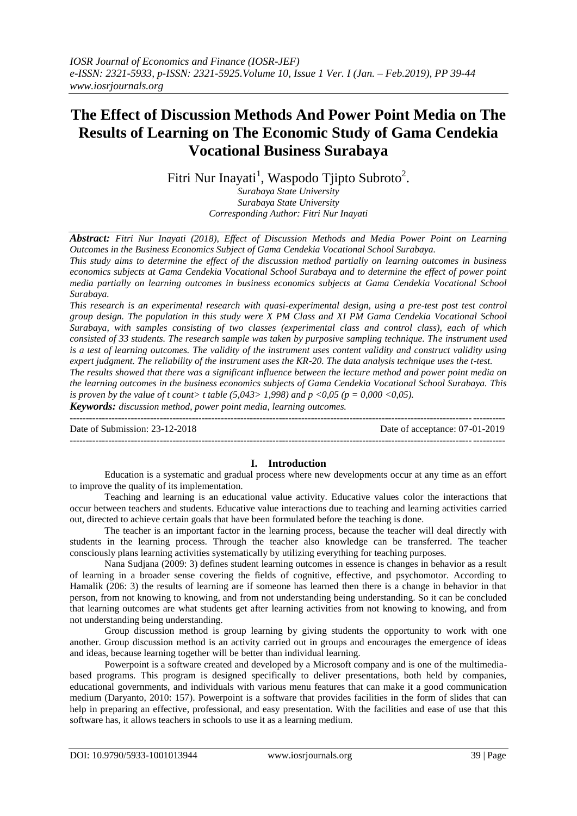# **The Effect of Discussion Methods And Power Point Media on The Results of Learning on The Economic Study of Gama Cendekia Vocational Business Surabaya**

Fitri Nur Inayati<sup>1</sup>, Waspodo Tjipto Subroto<sup>2</sup>.

*Surabaya State University Surabaya State University Corresponding Author: Fitri Nur Inayati*

*Abstract: Fitri Nur Inayati (2018), Effect of Discussion Methods and Media Power Point on Learning Outcomes in the Business Economics Subject of Gama Cendekia Vocational School Surabaya.*

*This study aims to determine the effect of the discussion method partially on learning outcomes in business economics subjects at Gama Cendekia Vocational School Surabaya and to determine the effect of power point media partially on learning outcomes in business economics subjects at Gama Cendekia Vocational School Surabaya.*

*This research is an experimental research with quasi-experimental design, using a pre-test post test control group design. The population in this study were X PM Class and XI PM Gama Cendekia Vocational School Surabaya, with samples consisting of two classes (experimental class and control class), each of which consisted of 33 students. The research sample was taken by purposive sampling technique. The instrument used is a test of learning outcomes. The validity of the instrument uses content validity and construct validity using expert judgment. The reliability of the instrument uses the KR-20. The data analysis technique uses the t-test.*

*The results showed that there was a significant influence between the lecture method and power point media on the learning outcomes in the business economics subjects of Gama Cendekia Vocational School Surabaya. This is proven by the value of t count> t table (5,043> 1,998) and p <0,05 (p = 0,000 <0,05).*

*Keywords: discussion method, power point media, learning outcomes.*

--------------------------------------------------------------------------------------------------------------------------------------- Date of Submission: 23-12-2018 Date of acceptance: 07-01-2019 ---------------------------------------------------------------------------------------------------------------------------------------

# **I. Introduction**

Education is a systematic and gradual process where new developments occur at any time as an effort to improve the quality of its implementation.

Teaching and learning is an educational value activity. Educative values color the interactions that occur between teachers and students. Educative value interactions due to teaching and learning activities carried out, directed to achieve certain goals that have been formulated before the teaching is done.

The teacher is an important factor in the learning process, because the teacher will deal directly with students in the learning process. Through the teacher also knowledge can be transferred. The teacher consciously plans learning activities systematically by utilizing everything for teaching purposes.

Nana Sudjana (2009: 3) defines student learning outcomes in essence is changes in behavior as a result of learning in a broader sense covering the fields of cognitive, effective, and psychomotor. According to Hamalik (206: 3) the results of learning are if someone has learned then there is a change in behavior in that person, from not knowing to knowing, and from not understanding being understanding. So it can be concluded that learning outcomes are what students get after learning activities from not knowing to knowing, and from not understanding being understanding.

Group discussion method is group learning by giving students the opportunity to work with one another. Group discussion method is an activity carried out in groups and encourages the emergence of ideas and ideas, because learning together will be better than individual learning.

Powerpoint is a software created and developed by a Microsoft company and is one of the multimediabased programs. This program is designed specifically to deliver presentations, both held by companies, educational governments, and individuals with various menu features that can make it a good communication medium (Daryanto, 2010: 157). Powerpoint is a software that provides facilities in the form of slides that can help in preparing an effective, professional, and easy presentation. With the facilities and ease of use that this software has, it allows teachers in schools to use it as a learning medium.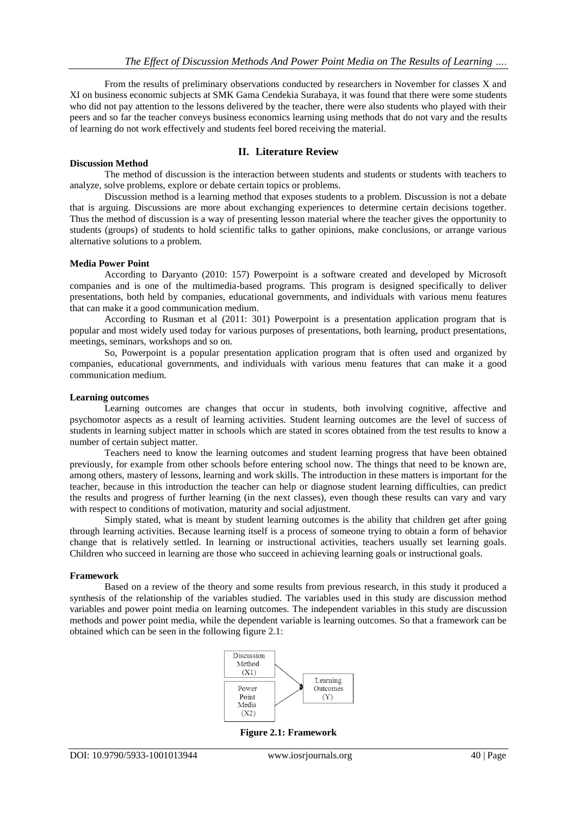From the results of preliminary observations conducted by researchers in November for classes X and XI on business economic subjects at SMK Gama Cendekia Surabaya, it was found that there were some students who did not pay attention to the lessons delivered by the teacher, there were also students who played with their peers and so far the teacher conveys business economics learning using methods that do not vary and the results of learning do not work effectively and students feel bored receiving the material.

### **II. Literature Review**

#### **Discussion Method**

The method of discussion is the interaction between students and students or students with teachers to analyze, solve problems, explore or debate certain topics or problems.

Discussion method is a learning method that exposes students to a problem. Discussion is not a debate that is arguing. Discussions are more about exchanging experiences to determine certain decisions together. Thus the method of discussion is a way of presenting lesson material where the teacher gives the opportunity to students (groups) of students to hold scientific talks to gather opinions, make conclusions, or arrange various alternative solutions to a problem.

#### **Media Power Point**

According to Daryanto (2010: 157) Powerpoint is a software created and developed by Microsoft companies and is one of the multimedia-based programs. This program is designed specifically to deliver presentations, both held by companies, educational governments, and individuals with various menu features that can make it a good communication medium.

According to Rusman et al (2011: 301) Powerpoint is a presentation application program that is popular and most widely used today for various purposes of presentations, both learning, product presentations, meetings, seminars, workshops and so on.

So, Powerpoint is a popular presentation application program that is often used and organized by companies, educational governments, and individuals with various menu features that can make it a good communication medium.

#### **Learning outcomes**

Learning outcomes are changes that occur in students, both involving cognitive, affective and psychomotor aspects as a result of learning activities. Student learning outcomes are the level of success of students in learning subject matter in schools which are stated in scores obtained from the test results to know a number of certain subject matter.

Teachers need to know the learning outcomes and student learning progress that have been obtained previously, for example from other schools before entering school now. The things that need to be known are, among others, mastery of lessons, learning and work skills. The introduction in these matters is important for the teacher, because in this introduction the teacher can help or diagnose student learning difficulties, can predict the results and progress of further learning (in the next classes), even though these results can vary and vary with respect to conditions of motivation, maturity and social adjustment.

Simply stated, what is meant by student learning outcomes is the ability that children get after going through learning activities. Because learning itself is a process of someone trying to obtain a form of behavior change that is relatively settled. In learning or instructional activities, teachers usually set learning goals. Children who succeed in learning are those who succeed in achieving learning goals or instructional goals.

#### **Framework**

Based on a review of the theory and some results from previous research, in this study it produced a synthesis of the relationship of the variables studied. The variables used in this study are discussion method variables and power point media on learning outcomes. The independent variables in this study are discussion methods and power point media, while the dependent variable is learning outcomes. So that a framework can be obtained which can be seen in the following figure 2.1:



**Figure 2.1: Framework**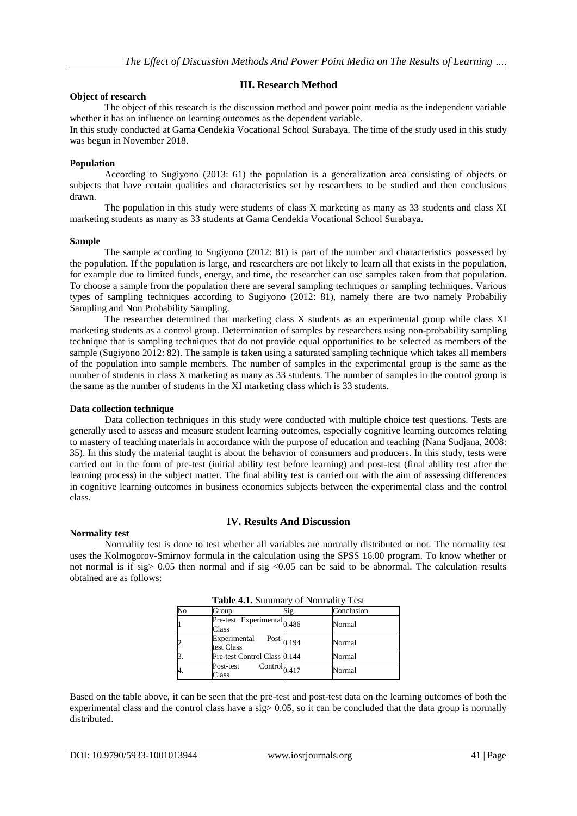## **III. Research Method**

#### **Object of research**

The object of this research is the discussion method and power point media as the independent variable whether it has an influence on learning outcomes as the dependent variable.

In this study conducted at Gama Cendekia Vocational School Surabaya. The time of the study used in this study was begun in November 2018.

#### **Population**

According to Sugiyono (2013: 61) the population is a generalization area consisting of objects or subjects that have certain qualities and characteristics set by researchers to be studied and then conclusions drawn.

The population in this study were students of class X marketing as many as 33 students and class XI marketing students as many as 33 students at Gama Cendekia Vocational School Surabaya.

#### **Sample**

The sample according to Sugiyono (2012: 81) is part of the number and characteristics possessed by the population. If the population is large, and researchers are not likely to learn all that exists in the population, for example due to limited funds, energy, and time, the researcher can use samples taken from that population. To choose a sample from the population there are several sampling techniques or sampling techniques. Various types of sampling techniques according to Sugiyono (2012: 81), namely there are two namely Probabiliy Sampling and Non Probability Sampling.

The researcher determined that marketing class X students as an experimental group while class XI marketing students as a control group. Determination of samples by researchers using non-probability sampling technique that is sampling techniques that do not provide equal opportunities to be selected as members of the sample (Sugiyono 2012: 82). The sample is taken using a saturated sampling technique which takes all members of the population into sample members. The number of samples in the experimental group is the same as the number of students in class X marketing as many as 33 students. The number of samples in the control group is the same as the number of students in the XI marketing class which is 33 students.

#### **Data collection technique**

Data collection techniques in this study were conducted with multiple choice test questions. Tests are generally used to assess and measure student learning outcomes, especially cognitive learning outcomes relating to mastery of teaching materials in accordance with the purpose of education and teaching (Nana Sudjana, 2008: 35). In this study the material taught is about the behavior of consumers and producers. In this study, tests were carried out in the form of pre-test (initial ability test before learning) and post-test (final ability test after the learning process) in the subject matter. The final ability test is carried out with the aim of assessing differences in cognitive learning outcomes in business economics subjects between the experimental class and the control class.

#### **IV. Results And Discussion**

#### **Normality test**

Normality test is done to test whether all variables are normally distributed or not. The normality test uses the Kolmogorov-Smirnov formula in the calculation using the SPSS 16.00 program. To know whether or not normal is if sig>  $0.05$  then normal and if sig <0.05 can be said to be abnormal. The calculation results obtained are as follows:

|                |                                                                     | <b>Table 4.1.</b> Summary of Normality Test |            |  |
|----------------|---------------------------------------------------------------------|---------------------------------------------|------------|--|
| No             | Group                                                               | Sig                                         | Conclusion |  |
| $\overline{1}$ | $\overline{\text{Pre-test}}$ Experimental <sub>0.486</sub><br>Class |                                             | Normal     |  |
| $\overline{c}$ | Experimental<br>test Class                                          | Post- $0.194$                               | Normal     |  |
| $\overline{3}$ | Pre-test Control Class 0.144                                        |                                             | Normal     |  |
| 4.             | $\overline{\text{Control}}_{0.417}$<br>Post-test<br>Class           |                                             | Normal     |  |

| Table 4.1. Summary of Normality Test |  |  |  |  |
|--------------------------------------|--|--|--|--|
|--------------------------------------|--|--|--|--|

Based on the table above, it can be seen that the pre-test and post-test data on the learning outcomes of both the experimental class and the control class have a sig  $> 0.05$ , so it can be concluded that the data group is normally distributed.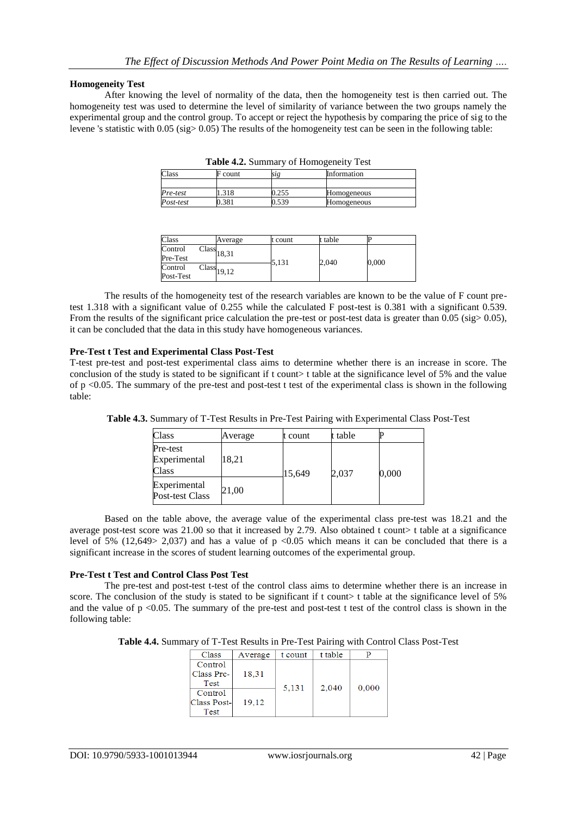## **Homogeneity Test**

After knowing the level of normality of the data, then the homogeneity test is then carried out. The homogeneity test was used to determine the level of similarity of variance between the two groups namely the experimental group and the control group. To accept or reject the hypothesis by comparing the price of sig to the levene 's statistic with 0.05 (sig> 0.05) The results of the homogeneity test can be seen in the following table:

| <b>1 apre 4.2.</b> Summary or Homogenerry Test |         |       |             |  |
|------------------------------------------------|---------|-------|-------------|--|
| Class                                          | F count |       | Information |  |
|                                                |         |       |             |  |
| Pre-test                                       | .318    | 1.255 | Homogeneous |  |
| Post-test                                      | 1.381   | 539ء  | Homogeneous |  |

|  |  |  | Table 4.2. Summary of Homogeneity Test |
|--|--|--|----------------------------------------|
|--|--|--|----------------------------------------|

| Class                | Average                           | t count | t table |       |
|----------------------|-----------------------------------|---------|---------|-------|
| Control<br>Pre-Test  | $\overline{\text{Class}}_{18,31}$ | 5,131   | 2,040   | 0,000 |
| Control<br>Post-Test | $\overline{\text{Class}}_{19,12}$ |         |         |       |

The results of the homogeneity test of the research variables are known to be the value of F count pretest 1.318 with a significant value of 0.255 while the calculated F post-test is 0.381 with a significant 0.539. From the results of the significant price calculation the pre-test or post-test data is greater than 0.05 (sig> 0.05). it can be concluded that the data in this study have homogeneous variances.

## **Pre-Test t Test and Experimental Class Post-Test**

T-test pre-test and post-test experimental class aims to determine whether there is an increase in score. The conclusion of the study is stated to be significant if t count> t table at the significance level of 5% and the value of p <0.05. The summary of the pre-test and post-test t test of the experimental class is shown in the following table:

| Class                             | Average | t count | t table |       |
|-----------------------------------|---------|---------|---------|-------|
| Pre-test<br>Experimental<br>Class | 18,21   | 15,649  | 2,037   | 0,000 |
| Experimental<br>Post-test Class   | 21,00   |         |         |       |

**Table 4.3.** Summary of T-Test Results in Pre-Test Pairing with Experimental Class Post-Test

Based on the table above, the average value of the experimental class pre-test was 18.21 and the average post-test score was  $21.00$  so that it increased by 2.79. Also obtained t count table at a significance level of 5% (12,649> 2,037) and has a value of p <0.05 which means it can be concluded that there is a significant increase in the scores of student learning outcomes of the experimental group.

# **Pre-Test t Test and Control Class Post Test**

The pre-test and post-test t-test of the control class aims to determine whether there is an increase in score. The conclusion of the study is stated to be significant if t count t table at the significance level of 5% and the value of  $p \le 0.05$ . The summary of the pre-test and post-test t test of the control class is shown in the following table:

**Table 4.4.** Summary of T-Test Results in Pre-Test Pairing with Control Class Post-Test

| Class       | Average | t count | t table |       |
|-------------|---------|---------|---------|-------|
| Control     |         |         |         |       |
| Class Pre-  | 18.31   |         |         |       |
| <b>Test</b> |         | 5,131   | 2.040   | 0.000 |
| Control     |         |         |         |       |
| Class Post- | 19.12   |         |         |       |
| Test        |         |         |         |       |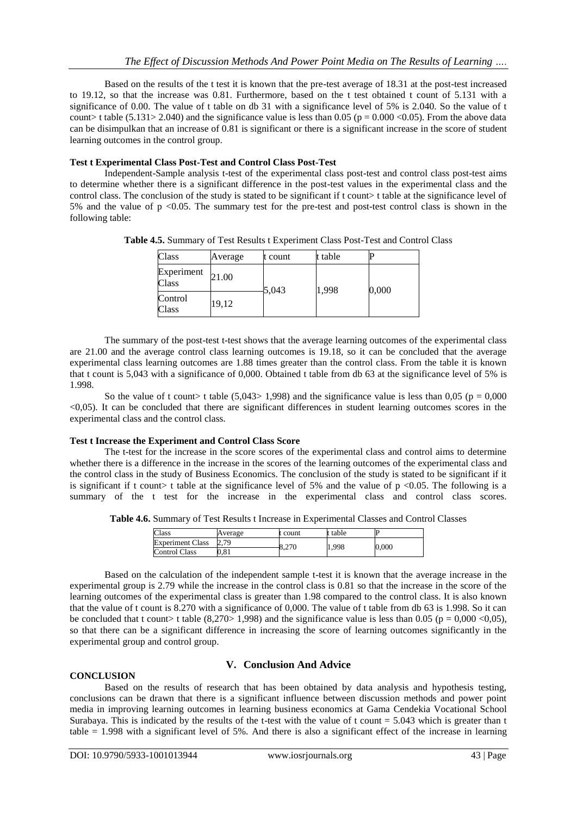Based on the results of the t test it is known that the pre-test average of 18.31 at the post-test increased to 19.12, so that the increase was 0.81. Furthermore, based on the t test obtained t count of 5.131 with a significance of 0.00. The value of t table on db 31 with a significance level of 5% is 2.040. So the value of t count> t table (5.131> 2.040) and the significance value is less than 0.05 ( $p = 0.000$  <0.05). From the above data can be disimpulkan that an increase of 0.81 is significant or there is a significant increase in the score of student learning outcomes in the control group.

# **Test t Experimental Class Post-Test and Control Class Post-Test**

Independent-Sample analysis t-test of the experimental class post-test and control class post-test aims to determine whether there is a significant difference in the post-test values in the experimental class and the control class. The conclusion of the study is stated to be significant if t count> t table at the significance level of 5% and the value of p <0.05. The summary test for the pre-test and post-test control class is shown in the following table:

**Table 4.5.** Summary of Test Results t Experiment Class Post-Test and Control Class

| Class               | Average | t count | t table |       |
|---------------------|---------|---------|---------|-------|
| Experiment<br>Class | 21.00   | 5,043   | 1,998   | 0,000 |
| Control<br>Class    | 19,12   |         |         |       |

The summary of the post-test t-test shows that the average learning outcomes of the experimental class are 21.00 and the average control class learning outcomes is 19.18, so it can be concluded that the average experimental class learning outcomes are 1.88 times greater than the control class. From the table it is known that t count is 5,043 with a significance of 0,000. Obtained t table from db 63 at the significance level of 5% is 1.998.

So the value of t count> t table (5,043> 1,998) and the significance value is less than 0,05 ( $p = 0,000$ <0,05). It can be concluded that there are significant differences in student learning outcomes scores in the experimental class and the control class.

#### **Test t Increase the Experiment and Control Class Score**

The t-test for the increase in the score scores of the experimental class and control aims to determine whether there is a difference in the increase in the scores of the learning outcomes of the experimental class and the control class in the study of Business Economics. The conclusion of the study is stated to be significant if it is significant if t count> t table at the significance level of 5% and the value of  $p \le 0.05$ . The following is a summary of the t test for the increase in the experimental class and control class scores.

**Table 4.6.** Summary of Test Results t Increase in Experimental Classes and Control Classes

| Class                   | Average                 | t count | t table | IF        |  |
|-------------------------|-------------------------|---------|---------|-----------|--|
| <b>Experiment Class</b> | 70<br>$\mathcal{L}$ . I | 8,270   | 1,998   | $0,\!000$ |  |
| <b>Control Class</b>    | $_{0.81}$               |         |         |           |  |

Based on the calculation of the independent sample t-test it is known that the average increase in the experimental group is 2.79 while the increase in the control class is 0.81 so that the increase in the score of the learning outcomes of the experimental class is greater than 1.98 compared to the control class. It is also known that the value of t count is 8.270 with a significance of 0,000. The value of t table from db 63 is 1.998. So it can be concluded that t count> t table (8,270> 1,998) and the significance value is less than 0.05 (p = 0,000 <0,05), so that there can be a significant difference in increasing the score of learning outcomes significantly in the experimental group and control group.

#### **CONCLUSION**

# **V. Conclusion And Advice**

Based on the results of research that has been obtained by data analysis and hypothesis testing, conclusions can be drawn that there is a significant influence between discussion methods and power point media in improving learning outcomes in learning business economics at Gama Cendekia Vocational School Surabaya. This is indicated by the results of the t-test with the value of t count = 5.043 which is greater than t table = 1.998 with a significant level of 5%. And there is also a significant effect of the increase in learning